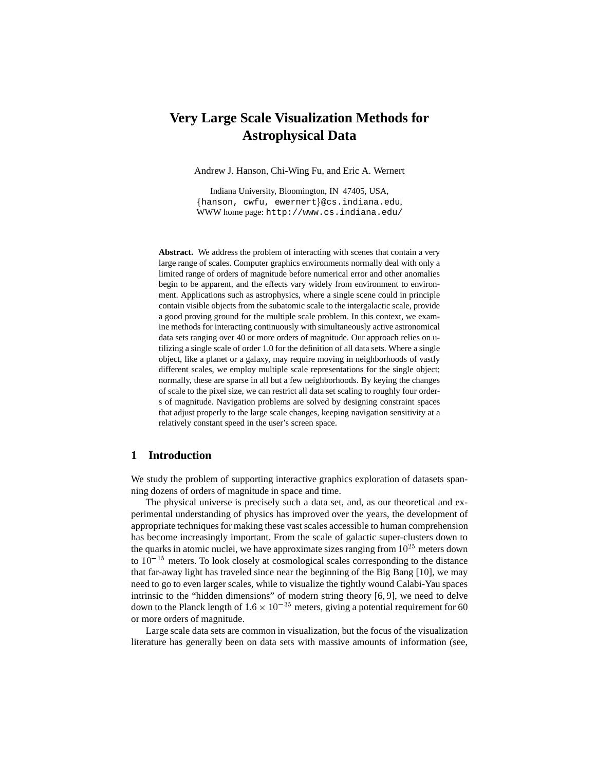# **Very Large Scale Visualization Methods for Astrophysical Data**

Andrew J. Hanson, Chi-Wing Fu, and Eric A. Wernert

Indiana University, Bloomington, IN 47405, USA, {hanson, cwfu, ewernert}@cs.indiana.edu, WWW home page: http://www.cs.indiana.edu/

**Abstract.** We address the problem of interacting with scenes that contain a very large range of scales. Computer graphics environments normally deal with only a limited range of orders of magnitude before numerical error and other anomalies begin to be apparent, and the effects vary widely from environment to environment. Applications such as astrophysics, where a single scene could in principle contain visible objects from the subatomic scale to the intergalactic scale, provide a good proving ground for the multiple scale problem. In this context, we examine methods for interacting continuously with simultaneously active astronomical data sets ranging over 40 or more orders of magnitude. Our approach relies on utilizing a single scale of order 1.0 for the definition of all data sets. Where a single object, like a planet or a galaxy, may require moving in neighborhoods of vastly different scales, we employ multiple scale representations for the single object; normally, these are sparse in all but a few neighborhoods. By keying the changes of scale to the pixel size, we can restrict all data set scaling to roughly four orders of magnitude. Navigation problems are solved by designing constraint spaces that adjust properly to the large scale changes, keeping navigation sensitivity at a relatively constant speed in the user's screen space.

# **1 Introduction**

We study the problem of supporting interactive graphics exploration of datasets spanning dozens of orders of magnitude in space and time.

The physical universe is precisely such a data set, and, as our theoretical and experimental understanding of physics has improved over the years, the development of appropriate techniques for making these vast scales accessible to human comprehension has become increasingly important. From the scale of galactic super-clusters down to the quarks in atomic nuclei, we have approximate sizes ranging from  $10^{25}$  meters down to  $10^{-15}$  meters. To look closely at cosmological scales corresponding to the distance that far-away light has traveled since near the beginning of the Big Bang [10], we may need to go to even larger scales, while to visualize the tightly wound Calabi-Yau spaces intrinsic to the "hidden dimensions" of modern string theory [6, 9], we need to delve down to the Planck length of  $1.6 \times 10^{-35}$  meters, giving a potential requirement for 60 or more orders of magnitude.

Large scale data sets are common in visualization, but the focus of the visualization literature has generally been on data sets with massive amounts of information (see,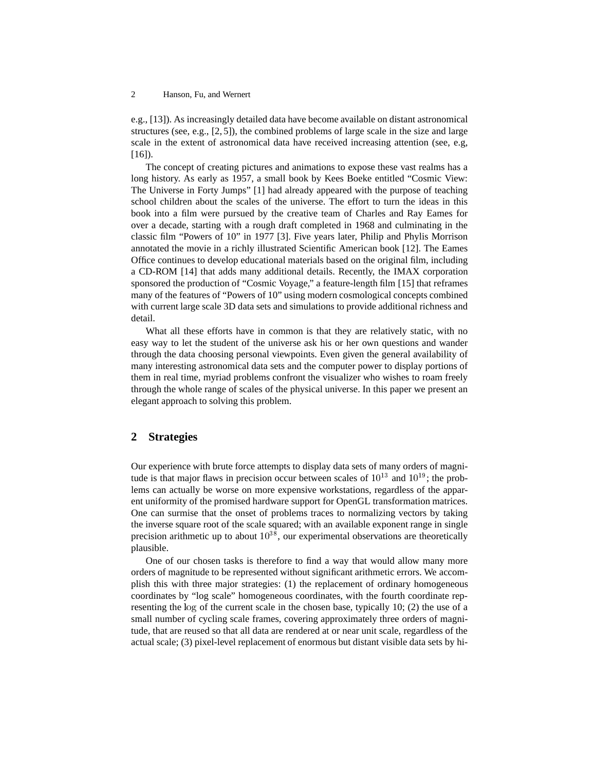e.g., [13]). As increasingly detailed data have become available on distant astronomical structures (see, e.g.,  $[2, 5]$ ), the combined problems of large scale in the size and large scale in the extent of astronomical data have received increasing attention (see, e.g, [16]).

The concept of creating pictures and animations to expose these vast realms has a long history. As early as 1957, a small book by Kees Boeke entitled "Cosmic View: The Universe in Forty Jumps" [1] had already appeared with the purpose of teaching school children about the scales of the universe. The effort to turn the ideas in this book into a film were pursued by the creative team of Charles and Ray Eames for over a decade, starting with a rough draft completed in 1968 and culminating in the classic film "Powers of 10" in 1977 [3]. Five years later, Philip and Phylis Morrison annotated the movie in a richly illustrated Scientific American book [12]. The Eames Office continues to develop educational materials based on the original film, including a CD-ROM [14] that adds many additional details. Recently, the IMAX corporation sponsored the production of "Cosmic Voyage," a feature-length film [15] that reframes many of the features of "Powers of 10" using modern cosmological concepts combined with current large scale 3D data sets and simulations to provide additional richness and detail.

What all these efforts have in common is that they are relatively static, with no easy way to let the student of the universe ask his or her own questions and wander through the data choosing personal viewpoints. Even given the general availability of many interesting astronomical data sets and the computer power to display portions of them in real time, myriad problems confront the visualizer who wishes to roam freely through the whole range of scales of the physical universe. In this paper we present an elegant approach to solving this problem.

## **2 Strategies**

Our experience with brute force attempts to display data sets of many orders of magnitude is that major flaws in precision occur between scales of  $10^{13}$  and  $10^{19}$ ; the problems can actually be worse on more expensive workstations, regardless of the apparent uniformity of the promised hardware support for OpenGL transformation matrices. One can surmise that the onset of problems traces to normalizing vectors by taking the inverse square root of the scale squared; with an available exponent range in single precision arithmetic up to about  $10^{38}$ , our experimental observations are theoretically plausible.

One of our chosen tasks is therefore to find a way that would allow many more orders of magnitude to be represented without significant arithmetic errors. We accomplish this with three major strategies: (1) the replacement of ordinary homogeneous coordinates by "log scale" homogeneous coordinates, with the fourth coordinate representing the log of the current scale in the chosen base, typically 10; (2) the use of a small number of cycling scale frames, covering approximately three orders of magnitude, that are reused so that all data are rendered at or near unit scale, regardless of the actual scale; (3) pixel-level replacement of enormous but distant visible data sets by hi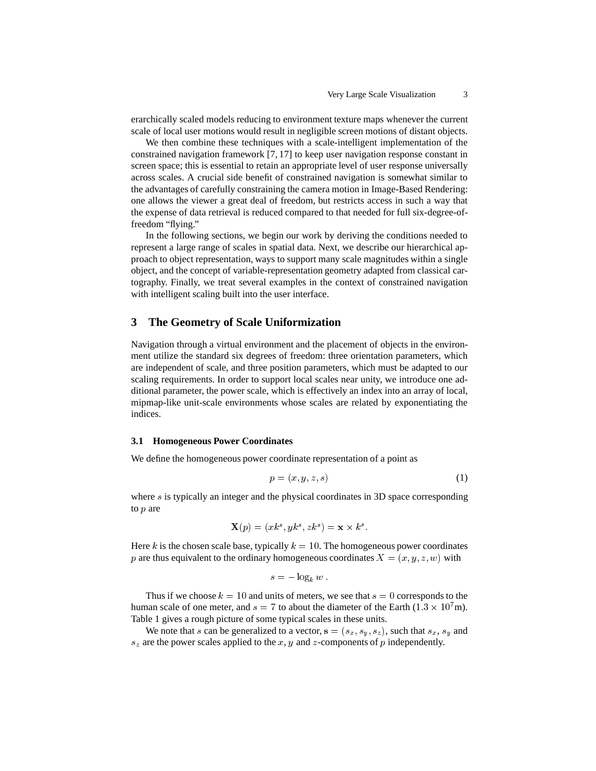erarchically scaled models reducing to environment texture maps whenever the current scale of local user motions would result in negligible screen motions of distant objects.

We then combine these techniques with a scale-intelligent implementation of the constrained navigation framework [7, 17] to keep user navigation response constant in screen space; this is essential to retain an appropriate level of user response universally across scales. A crucial side benefit of constrained navigation is somewhat similar to the advantages of carefully constraining the camera motion in Image-Based Rendering: one allows the viewer a great deal of freedom, but restricts access in such a way that the expense of data retrieval is reduced compared to that needed for full six-degree-offreedom "flying."

In the following sections, we begin our work by deriving the conditions needed to represent a large range of scales in spatial data. Next, we describe our hierarchical approach to object representation, ways to support many scale magnitudes within a single object, and the concept of variable-representation geometry adapted from classical cartography. Finally, we treat several examples in the context of constrained navigation with intelligent scaling built into the user interface.

# **3 The Geometry of Scale Uniformization**

Navigation through a virtual environment and the placement of objects in the environment utilize the standard six degrees of freedom: three orientation parameters, which are independent of scale, and three position parameters, which must be adapted to our scaling requirements. In order to support local scales near unity, we introduce one additional parameter, the power scale, which is effectively an index into an array of local, mipmap-like unit-scale environments whose scales are related by exponentiating the indices.

#### **3.1 Homogeneous Power Coordinates**

We define the homogeneous power coordinate representation of a point as

$$
p = (x, y, z, s) \tag{1}
$$

where  $s$  is typically an integer and the physical coordinates in 3D space corresponding to <sup>p</sup> are

$$
\mathbf{X}(p) = (x k^s, y k^s, z k^s) = \mathbf{x} \times k^s.
$$

Here k is the chosen scale base, typically  $k = 10$ . The homogeneous power coordinates p are thus equivalent to the ordinary homogeneous coordinates  $X = (x, y, z, w)$  with

$$
s = -\log_k w.
$$

Thus if we choose  $k = 10$  and units of meters, we see that  $s = 0$  corresponds to the human scale of one meter, and  $s = 7$  to about the diameter of the Earth  $(1.3 \times 10^7 \text{m})$ . Table 1 gives a rough picture of some typical scales in these units.

We note that s can be generalized to a vector,  $s = (s_x, s_y, s_z)$ , such that  $s_x, s_y$  and  $s_z$  are the power scales applied to the x, y and z-components of p independently.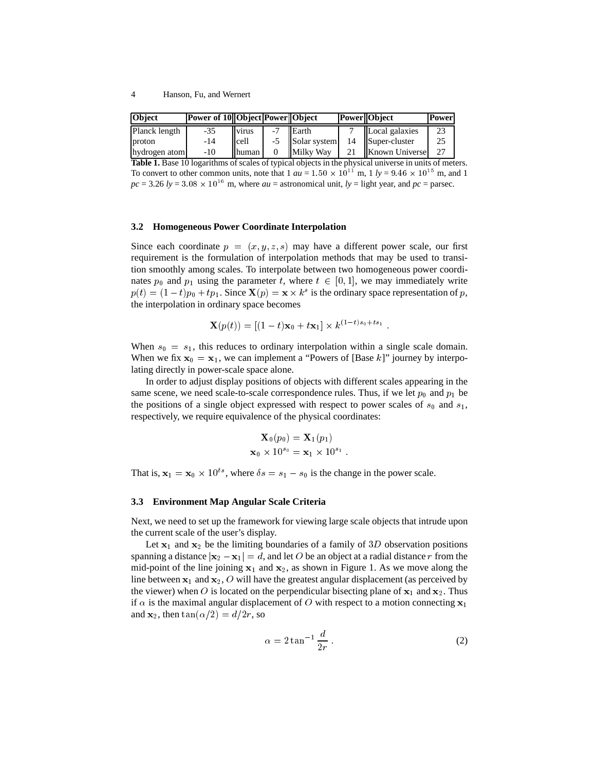| <b>Object</b> | <b>Power of 10 Object Power Object</b> |       |                  |    | Power Object          | <b>Power</b> |
|---------------|----------------------------------------|-------|------------------|----|-----------------------|--------------|
| Planck length | $-35$                                  | virus | Earth            |    | Local galaxies        | 23           |
| proton        | -14                                    | cell  | Solar system     | 14 | Super-cluster         | 25           |
| hydrogen atom | $-10$                                  | human | <b>Milky Way</b> |    | <b>Known Universe</b> |              |

**Table 1.** Base 10 logarithms of scales of typical objects in the physical universe in units of meters. To convert to other common units, note that  $1 \, au = 1.50 \times 10^{11}$  m,  $1 \, ly = 9.46 \times 10^{15}$  m, and 1  $pc = 3.26$   $ly = 3.08 \times 10^{16}$  m, where  $au =$  astronomical unit,  $ly =$  light year, and  $pc =$  parsec.

### **3.2 Homogeneous Power Coordinate Interpolation**

Since each coordinate  $p = (x, y, z, s)$  may have a different power scale, our first requirement is the formulation of interpolation methods that may be used to transition smoothly among scales. To interpolate between two homogeneous power coordinates  $p_0$  and  $p_1$  using the parameter t, where  $t \in [0, 1]$ , we may immediately write  $p(t) = (1-t)p_0 + tp_1$ . Since  $\mathbf{X}(p) = \mathbf{x} \times k^s$  is the ordinary space representation of p, the interpolation in ordinary space becomes

$$
\mathbf{X}(p(t)) = [(1-t)\mathbf{x}_0 + t\mathbf{x}_1] \times k^{(1-t)s_0 + ts_1}.
$$

When  $s_0 = s_1$ , this reduces to ordinary interpolation within a single scale domain. When we fix  $x_0 = x_1$ , we can implement a "Powers of [Base k]" journey by interpolating directly in power-scale space alone.

In order to adjust display positions of objects with different scales appearing in the same scene, we need scale-to-scale correspondence rules. Thus, if we let  $p_0$  and  $p_1$  be the positions of a single object expressed with respect to power scales of  $s_0$  and  $s_1$ , respectively, we require equivalence of the physical coordinates:

$$
\mathbf{X}_0(p_0) = \mathbf{X}_1(p_1)
$$
  

$$
\mathbf{x}_0 \times 10^{s_0} = \mathbf{x}_1 \times 10^{s_1}.
$$

That is,  $x_1 = x_0 \times 10^{8s}$ , where  $\delta s = s_1 - s_0$  is the change in the power scale.

### **3.3 Environment Map Angular Scale Criteria**

Next, we need to set up the framework for viewing large scale objects that intrude upon the current scale of the user's display.

Let  $x_1$  and  $x_2$  be the limiting boundaries of a family of 3D observation positions spanning a distance  $|x_2 - x_1| = d$ , and let O be an object at a radial distance r from the mid-point of the line joining  $x_1$  and  $x_2$ , as shown in Figure 1. As we move along the line between  $x_1$  and  $x_2$ , O will have the greatest angular displacement (as perceived by the viewer) when O is located on the perpendicular bisecting plane of  $x_1$  and  $x_2$ . Thus if  $\alpha$  is the maximal angular displacement of O with respect to a motion connecting  $x_1$ and  $\mathbf{x}_2$ , then  $\tan(\alpha/2)= d/2r$ , so

$$
\alpha = 2 \tan^{-1} \frac{d}{2r} \,. \tag{2}
$$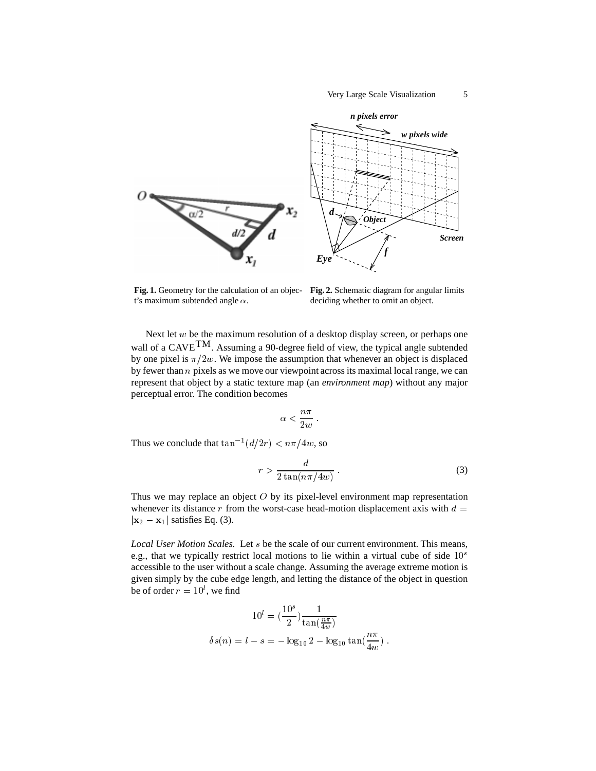

**Fig. 1.** Geometry for the calculation of an object's maximum subtended angle  $\alpha$ .

**Fig. 2.** Schematic diagram for angular limits deciding whether to omit an object.

Next let  $w$  be the maximum resolution of a desktop display screen, or perhaps one wall of a CAVE<sup>TM</sup>. Assuming a 90-degree field of view, the typical angle subtended by one pixel is  $\pi/2w$ . We impose the assumption that whenever an object is displaced by fewer than  $n$  pixels as we move our viewpoint across its maximal local range, we can represent that object by a static texture map (an *environment map*) without any major perceptual error. The condition becomes

$$
\alpha < \frac{n\pi}{2w} \, .
$$

Thus we conclude that  $\tan^{-1}(d/2r) < n\pi/4w$ , so

$$
r > \frac{d}{2\tan(n\pi/4w)}\tag{3}
$$

Thus we may replace an object  $O$  by its pixel-level environment map representation whenever its distance r from the worst-case head-motion displacement axis with  $d =$  $|\mathbf{x}_2 - \mathbf{x}_1|$  satisfies Eq. (3).

*Local User Motion Scales.* Let <sup>s</sup> be the scale of our current environment. This means, e.g., that we typically restrict local motions to lie within a virtual cube of side  $10<sup>s</sup>$ accessible to the user without a scale change. Assuming the average extreme motion is given simply by the cube edge length, and letting the distance of the object in question be of order  $r = 10^l$ , we find

$$
10^{l} = \left(\frac{10^{s}}{2}\right) \frac{1}{\tan\left(\frac{n\pi}{4w}\right)}
$$

$$
\delta s(n) = l - s = -\log_{10} 2 - \log_{10} \tan\left(\frac{n\pi}{4w}\right).
$$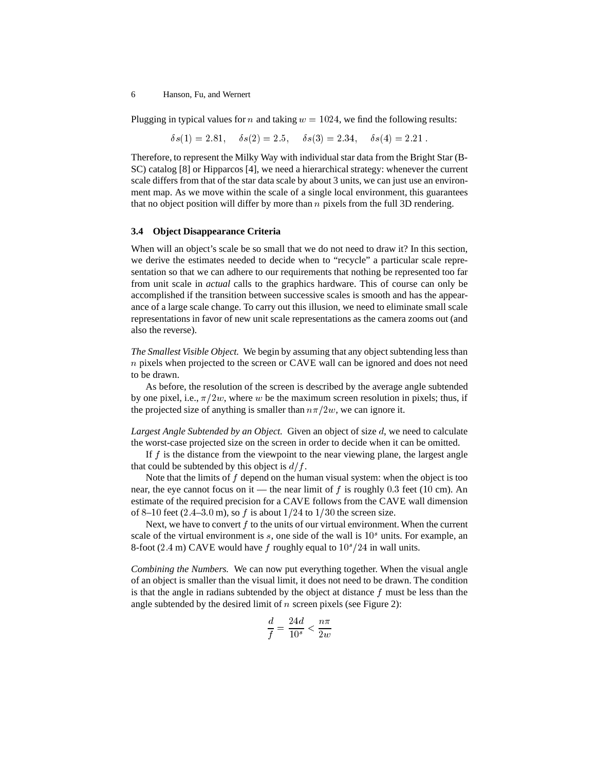#### 6 Hanson, Fu, and Wernert

Plugging in typical values for n and taking  $w = 1024$ , we find the following results:

$$
\delta s(1) = 2.81
$$
,  $\delta s(2) = 2.5$ ,  $\delta s(3) = 2.34$ ,  $\delta s(4) = 2.21$ .

Therefore, to represent the Milky Way with individual star data from the Bright Star (B-SC) catalog [8] or Hipparcos [4], we need a hierarchical strategy: whenever the current scale differs from that of the star data scale by about 3 units, we can just use an environment map. As we move within the scale of a single local environment, this guarantees that no object position will differ by more than  $n$  pixels from the full 3D rendering.

### **3.4 Object Disappearance Criteria**

When will an object's scale be so small that we do not need to draw it? In this section, we derive the estimates needed to decide when to "recycle" a particular scale representation so that we can adhere to our requirements that nothing be represented too far from unit scale in *actual* calls to the graphics hardware. This of course can only be accomplished if the transition between successive scales is smooth and has the appearance of a large scale change. To carry out this illusion, we need to eliminate small scale representations in favor of new unit scale representations as the camera zooms out (and also the reverse).

*The Smallest Visible Object.* We begin by assuming that any object subtending less than  $n$  pixels when projected to the screen or CAVE wall can be ignored and does not need to be drawn.

As before, the resolution of the screen is described by the average angle subtended by one pixel, i.e.,  $\pi/2w$ , where w be the maximum screen resolution in pixels; thus, if the projected size of anything is smaller than  $n\pi/2w$ , we can ignore it.

*Largest Angle Subtended by an Object.* Given an object of size <sup>d</sup>, we need to calculate the worst-case projected size on the screen in order to decide when it can be omitted.

If  $f$  is the distance from the viewpoint to the near viewing plane, the largest angle that could be subtended by this object is  $d/f$ .

Note that the limits of  $f$  depend on the human visual system: when the object is too near, the eye cannot focus on it — the near limit of  $f$  is roughly 0.3 feet (10 cm). An estimate of the required precision for a CAVE follows from the CAVE wall dimension of 8–10 feet (2.4–3.0 m), so f is about  $1/24$  to  $1/30$  the screen size.

Next, we have to convert  $f$  to the units of our virtual environment. When the current scale of the virtual environment is  $s$ , one side of the wall is  $10<sup>s</sup>$  units. For example, an 8-foot (2.4 m) CAVE would have f roughly equal to  $10<sup>s</sup>/24$  in wall units.

*Combining the Numbers.* We can now put everything together. When the visual angle of an object is smaller than the visual limit, it does not need to be drawn. The condition is that the angle in radians subtended by the object at distance  $f$  must be less than the angle subtended by the desired limit of  $n$  screen pixels (see Figure 2):

$$
\frac{d}{f}=\frac{24d}{10^s}<\frac{n\pi}{2w}
$$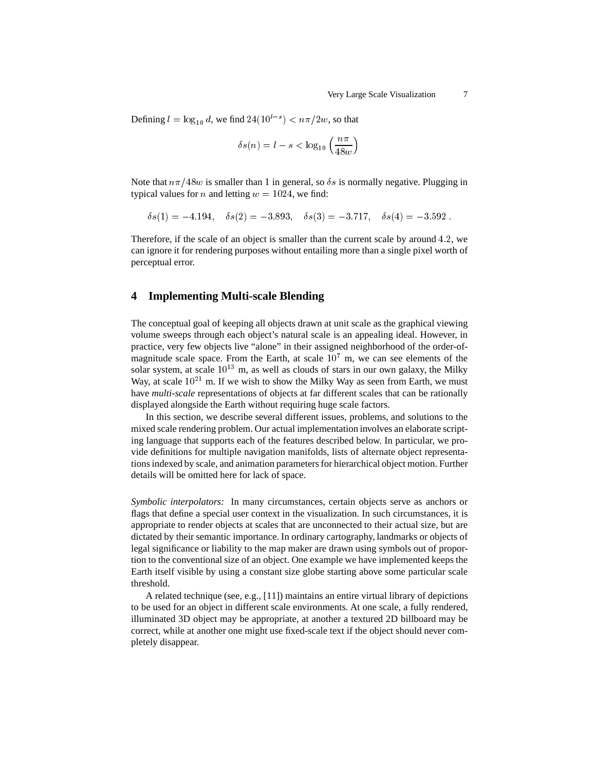Defining  $l = \log_{10} d$ , we find  $24(10^{l-s}) < n\pi/2w$ , so that

$$
\delta s(n) = l - s < \log_{10} \left( \frac{n\pi}{48w} \right)
$$

Note that  $n\pi/48w$  is smaller than 1 in general, so  $\delta s$  is normally negative. Plugging in typical values for *n* and letting  $w = 1024$ , we find:

$$
\delta s(1) = -4.194, \quad \delta s(2) = -3.893, \quad \delta s(3) = -3.717, \quad \delta s(4) = -3.592
$$

Therefore, if the scale of an object is smaller than the current scale by around 4.2, we can ignore it for rendering purposes without entailing more than a single pixel worth of perceptual error.

### **4 Implementing Multi-scale Blending**

The conceptual goal of keeping all objects drawn at unit scale as the graphical viewing volume sweeps through each object's natural scale is an appealing ideal. However, in practice, very few objects live "alone" in their assigned neighborhood of the order-ofmagnitude scale space. From the Earth, at scale  $10<sup>7</sup>$  m, we can see elements of the solar system, at scale  $10^{13}$  m, as well as clouds of stars in our own galaxy, the Milky Way, at scale  $10^{21}$  m. If we wish to show the Milky Way as seen from Earth, we must have *multi-scale* representations of objects at far different scales that can be rationally displayed alongside the Earth without requiring huge scale factors.

In this section, we describe several different issues, problems, and solutions to the mixed scale rendering problem. Our actual implementation involves an elaborate scripting language that supports each of the features described below. In particular, we provide definitions for multiple navigation manifolds, lists of alternate object representations indexed by scale, and animation parameters for hierarchical object motion. Further details will be omitted here for lack of space.

*Symbolic interpolators:* In many circumstances, certain objects serve as anchors or flags that define a special user context in the visualization. In such circumstances, it is appropriate to render objects at scales that are unconnected to their actual size, but are dictated by their semantic importance. In ordinary cartography, landmarks or objects of legal significance or liability to the map maker are drawn using symbols out of proportion to the conventional size of an object. One example we have implemented keeps the Earth itself visible by using a constant size globe starting above some particular scale threshold.

A related technique (see, e.g., [11]) maintains an entire virtual library of depictions to be used for an object in different scale environments. At one scale, a fully rendered, illuminated 3D object may be appropriate, at another a textured 2D billboard may be correct, while at another one might use fixed-scale text if the object should never completely disappear.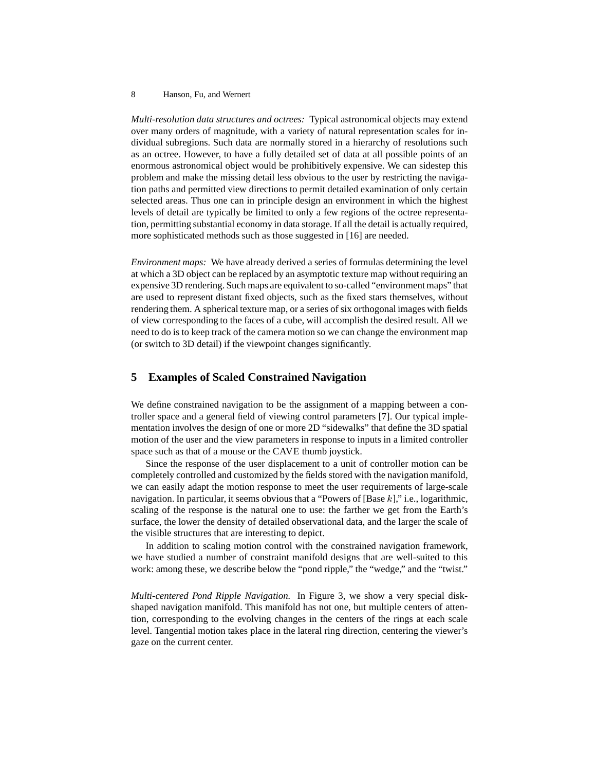### 8 Hanson, Fu, and Wernert

*Multi-resolution data structures and octrees:* Typical astronomical objects may extend over many orders of magnitude, with a variety of natural representation scales for individual subregions. Such data are normally stored in a hierarchy of resolutions such as an octree. However, to have a fully detailed set of data at all possible points of an enormous astronomical object would be prohibitively expensive. We can sidestep this problem and make the missing detail less obvious to the user by restricting the navigation paths and permitted view directions to permit detailed examination of only certain selected areas. Thus one can in principle design an environment in which the highest levels of detail are typically be limited to only a few regions of the octree representation, permitting substantial economy in data storage. If all the detail is actually required, more sophisticated methods such as those suggested in [16] are needed.

*Environment maps:* We have already derived a series of formulas determining the level at which a 3D object can be replaced by an asymptotic texture map without requiring an expensive 3D rendering. Such maps are equivalent to so-called "environment maps" that are used to represent distant fixed objects, such as the fixed stars themselves, without rendering them. A spherical texture map, or a series of six orthogonal images with fields of view corresponding to the faces of a cube, will accomplish the desired result. All we need to do is to keep track of the camera motion so we can change the environment map (or switch to 3D detail) if the viewpoint changes significantly.

## **5 Examples of Scaled Constrained Navigation**

We define constrained navigation to be the assignment of a mapping between a controller space and a general field of viewing control parameters [7]. Our typical implementation involves the design of one or more 2D "sidewalks" that define the 3D spatial motion of the user and the view parameters in response to inputs in a limited controller space such as that of a mouse or the CAVE thumb joystick.

Since the response of the user displacement to a unit of controller motion can be completely controlled and customized by the fields stored with the navigation manifold, we can easily adapt the motion response to meet the user requirements of large-scale navigation. In particular, it seems obvious that a "Powers of [Base  $k$ ]," i.e., logarithmic, scaling of the response is the natural one to use: the farther we get from the Earth's surface, the lower the density of detailed observational data, and the larger the scale of the visible structures that are interesting to depict.

In addition to scaling motion control with the constrained navigation framework, we have studied a number of constraint manifold designs that are well-suited to this work: among these, we describe below the "pond ripple," the "wedge," and the "twist."

*Multi-centered Pond Ripple Navigation.* In Figure 3, we show a very special diskshaped navigation manifold. This manifold has not one, but multiple centers of attention, corresponding to the evolving changes in the centers of the rings at each scale level. Tangential motion takes place in the lateral ring direction, centering the viewer's gaze on the current center.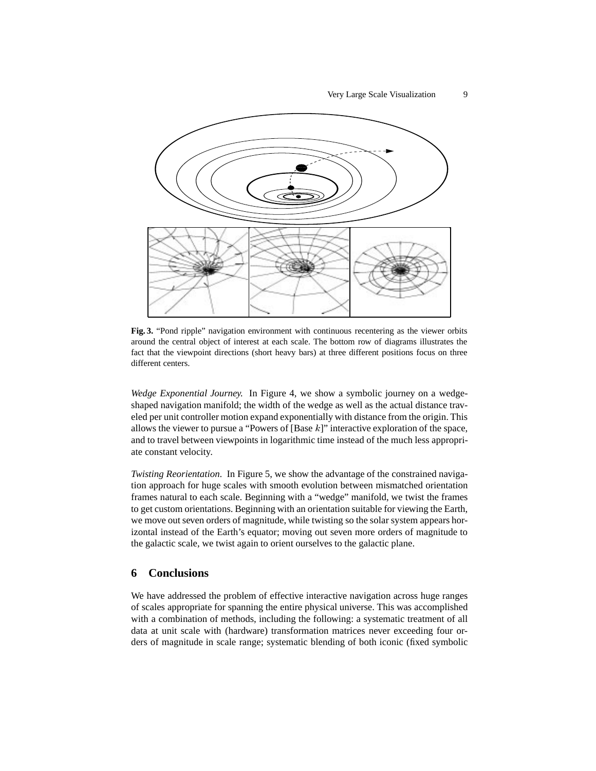

**Fig. 3.** "Pond ripple" navigation environment with continuous recentering as the viewer orbits around the central object of interest at each scale. The bottom row of diagrams illustrates the fact that the viewpoint directions (short heavy bars) at three different positions focus on three different centers.

*Wedge Exponential Journey.* In Figure 4, we show a symbolic journey on a wedgeshaped navigation manifold; the width of the wedge as well as the actual distance traveled per unit controller motion expand exponentially with distance from the origin. This allows the viewer to pursue a "Powers of [Base  $k$ ]" interactive exploration of the space, and to travel between viewpoints in logarithmic time instead of the much less appropriate constant velocity.

*Twisting Reorientation.* In Figure 5, we show the advantage of the constrained navigation approach for huge scales with smooth evolution between mismatched orientation frames natural to each scale. Beginning with a "wedge" manifold, we twist the frames to get custom orientations. Beginning with an orientation suitable for viewing the Earth, we move out seven orders of magnitude, while twisting so the solar system appears horizontal instead of the Earth's equator; moving out seven more orders of magnitude to the galactic scale, we twist again to orient ourselves to the galactic plane.

# **6 Conclusions**

We have addressed the problem of effective interactive navigation across huge ranges of scales appropriate for spanning the entire physical universe. This was accomplished with a combination of methods, including the following: a systematic treatment of all data at unit scale with (hardware) transformation matrices never exceeding four orders of magnitude in scale range; systematic blending of both iconic (fixed symbolic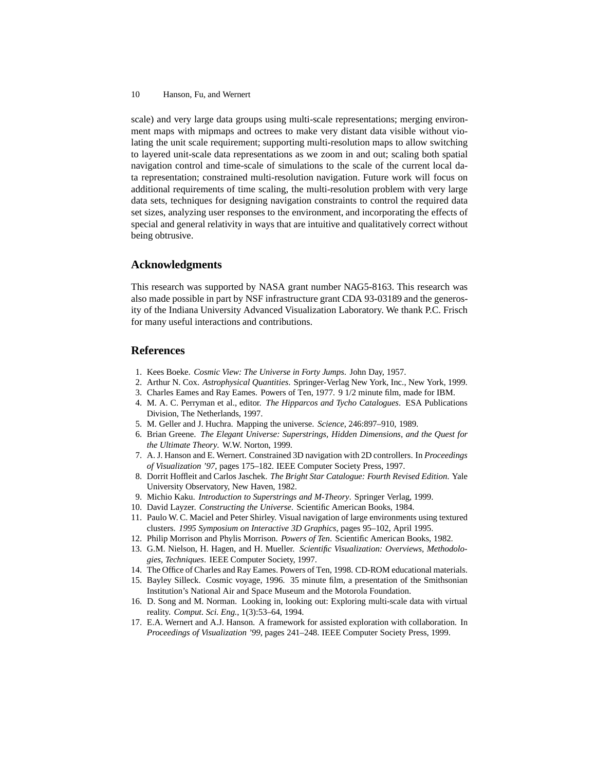#### 10 Hanson, Fu, and Wernert

scale) and very large data groups using multi-scale representations; merging environment maps with mipmaps and octrees to make very distant data visible without violating the unit scale requirement; supporting multi-resolution maps to allow switching to layered unit-scale data representations as we zoom in and out; scaling both spatial navigation control and time-scale of simulations to the scale of the current local data representation; constrained multi-resolution navigation. Future work will focus on additional requirements of time scaling, the multi-resolution problem with very large data sets, techniques for designing navigation constraints to control the required data set sizes, analyzing user responses to the environment, and incorporating the effects of special and general relativity in ways that are intuitive and qualitatively correct without being obtrusive.

### **Acknowledgments**

This research was supported by NASA grant number NAG5-8163. This research was also made possible in part by NSF infrastructure grant CDA 93-03189 and the generosity of the Indiana University Advanced Visualization Laboratory. We thank P.C. Frisch for many useful interactions and contributions.

# **References**

- 1. Kees Boeke. *Cosmic View: The Universe in Forty Jumps*. John Day, 1957.
- 2. Arthur N. Cox. *Astrophysical Quantities*. Springer-Verlag New York, Inc., New York, 1999.
- 3. Charles Eames and Ray Eames. Powers of Ten, 1977. 9 1/2 minute film, made for IBM.
- 4. M. A. C. Perryman et al., editor. *The Hipparcos and Tycho Catalogues*. ESA Publications Division, The Netherlands, 1997.
- 5. M. Geller and J. Huchra. Mapping the universe. *Science*, 246:897–910, 1989.
- 6. Brian Greene. *The Elegant Universe: Superstrings, Hidden Dimensions, and the Quest for the Ultimate Theory*. W.W. Norton, 1999.
- 7. A. J. Hanson and E. Wernert. Constrained 3D navigation with 2D controllers. In *Proceedings of Visualization '97*, pages 175–182. IEEE Computer Society Press, 1997.
- 8. Dorrit Hoffleit and Carlos Jaschek. *The Bright Star Catalogue: Fourth Revised Edition*. Yale University Observatory, New Haven, 1982.
- 9. Michio Kaku. *Introduction to Superstrings and M-Theory*. Springer Verlag, 1999.
- 10. David Layzer. *Constructing the Universe*. Scientific American Books, 1984.
- 11. Paulo W. C. Maciel and Peter Shirley. Visual navigation of large environments using textured clusters. *1995 Symposium on Interactive 3D Graphics*, pages 95–102, April 1995.
- 12. Philip Morrison and Phylis Morrison. *Powers of Ten*. Scientific American Books, 1982.
- 13. G.M. Nielson, H. Hagen, and H. Mueller. *Scientific Visualization: Overviews, Methodologies, Techniques*. IEEE Computer Society, 1997.
- 14. The Office of Charles and Ray Eames. Powers of Ten, 1998. CD-ROM educational materials.
- 15. Bayley Silleck. Cosmic voyage, 1996. 35 minute film, a presentation of the Smithsonian Institution's National Air and Space Museum and the Motorola Foundation.
- 16. D. Song and M. Norman. Looking in, looking out: Exploring multi-scale data with virtual reality. *Comput. Sci. Eng.*, 1(3):53–64, 1994.
- 17. E.A. Wernert and A.J. Hanson. A framework for assisted exploration with collaboration. In *Proceedings of Visualization '99*, pages 241–248. IEEE Computer Society Press, 1999.